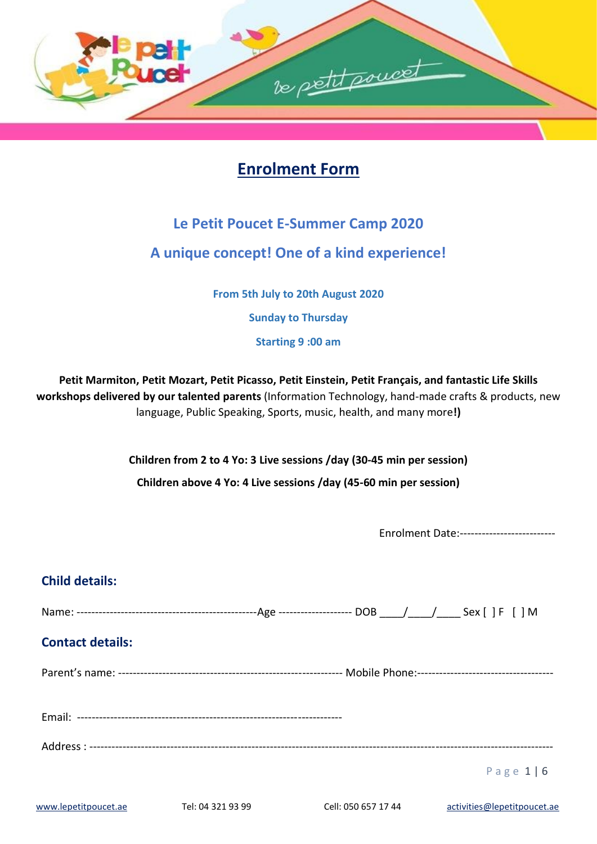

# **Enrolment Form**

## **Le Petit Poucet E-Summer Camp 2020**

## **A unique concept! One of a kind experience!**

**From 5th July to 20th August 2020**

**Sunday to Thursday**

**Starting 9 :00 am** 

**Petit Marmiton, Petit Mozart, Petit Picasso, Petit Einstein, Petit Français, and fantastic Life Skills workshops delivered by our talented parents** (Information Technology, hand-made crafts & products, new language, Public Speaking, Sports, music, health, and many more**!)**

**Children from 2 to 4 Yo: 3 Live sessions /day (30-45 min per session)**

**Children above 4 Yo: 4 Live sessions /day (45-60 min per session)**

Enrolment Date:--------------------------

## **Child details:**

Name: -------------------------------------------------Age -------------------- DOB \_\_\_\_/\_\_\_\_/\_\_\_\_ Sex [ ] F [ ] M

### **Contact details:**

Parent's name: ------------------------------------------------------------- Mobile Phone:-------------------------------------

Email: ------------------------------------------------------------------------

Address : ------------------------------------------------------------------------------------------------------------------------------

P a g e 1 | 6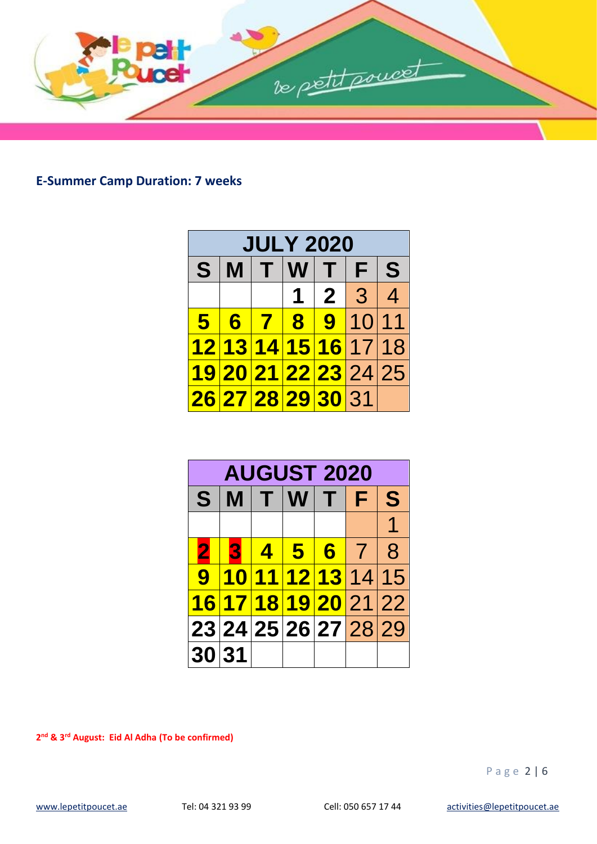

**E-Summer Camp Duration: 7 weeks**

| <b>JULY 2020</b> |   |  |  |                      |                      |
|------------------|---|--|--|----------------------|----------------------|
| S.               | M |  |  | T W T F              | S                    |
|                  |   |  |  | 1 2 3 4              |                      |
| 5 <sup>1</sup>   | 6 |  |  | 7891011              |                      |
|                  |   |  |  | 12 13 14 15 16 17 18 |                      |
|                  |   |  |  |                      | 19 20 21 22 23 24 25 |
|                  |   |  |  | 26 27 28 29 30 31    |                      |

|                      |   |  | <b>AUGUST 2020</b>   |   |
|----------------------|---|--|----------------------|---|
| S.                   |   |  | MITWITF              | S |
|                      |   |  |                      | 1 |
| 2                    | p |  | 145678               |   |
|                      |   |  | 9 10 11 12 13 14 15  |   |
|                      |   |  | 16 17 18 19 20 21 22 |   |
| 23 24 25 26 27 28 29 |   |  |                      |   |
| 30 31                |   |  |                      |   |

**nd & 3rd August: Eid Al Adha (To be confirmed)** 

P a g e 2 | 6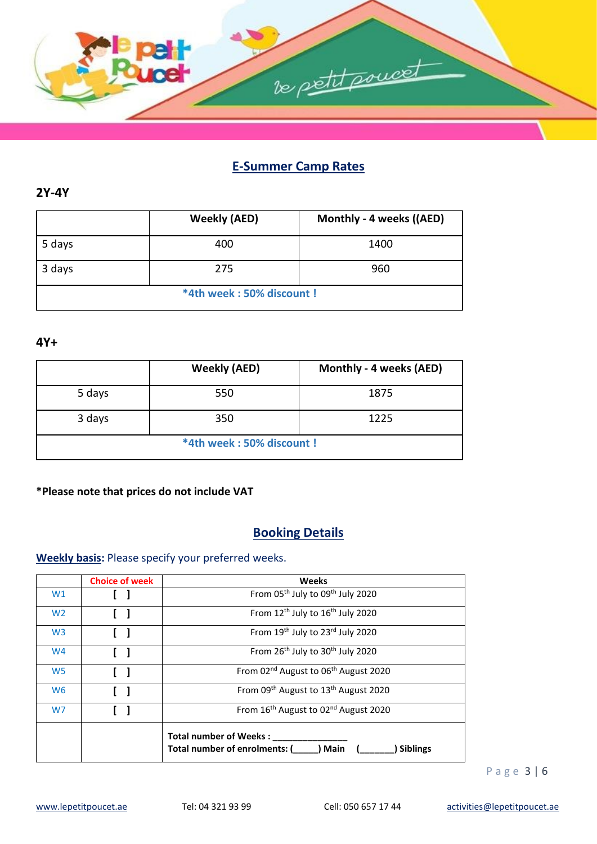

### **E-Summer Camp Rates**

#### **2Y-4Y**

|        | <b>Weekly (AED)</b>      | Monthly - 4 weeks ((AED) |
|--------|--------------------------|--------------------------|
| 5 days | 400                      | 1400                     |
| 3 days | 275                      | 960                      |
|        | *4th week: 50% discount! |                          |

#### **4Y+**

|        | <b>Weekly (AED)</b>      | Monthly - 4 weeks (AED) |
|--------|--------------------------|-------------------------|
| 5 days | 550                      | 1875                    |
| 3 days | 350                      | 1225                    |
|        | *4th week: 50% discount! |                         |

#### **\*Please note that prices do not include VAT**

### **Booking Details**

### **Weekly basis:** Please specify your preferred weeks.

|                | <b>Choice of week</b> | <b>Weeks</b>                                                                                |  |
|----------------|-----------------------|---------------------------------------------------------------------------------------------|--|
| W1             |                       | From 05 <sup>th</sup> July to 09 <sup>th</sup> July 2020                                    |  |
| W <sub>2</sub> |                       | From 12 <sup>th</sup> July to 16 <sup>th</sup> July 2020                                    |  |
| W <sub>3</sub> |                       | From 19th July to 23rd July 2020                                                            |  |
| W <sub>4</sub> |                       | From 26 <sup>th</sup> July to 30 <sup>th</sup> July 2020                                    |  |
| W <sub>5</sub> |                       | From 02 <sup>nd</sup> August to 06 <sup>th</sup> August 2020                                |  |
| W <sub>6</sub> |                       | From 09 <sup>th</sup> August to 13 <sup>th</sup> August 2020                                |  |
| W7             |                       | From 16 <sup>th</sup> August to 02 <sup>nd</sup> August 2020                                |  |
|                |                       | <b>Total number of Weeks:</b><br>Total number of enrolments: (<br>) Main<br><b>Siblings</b> |  |

P a g e 3 | 6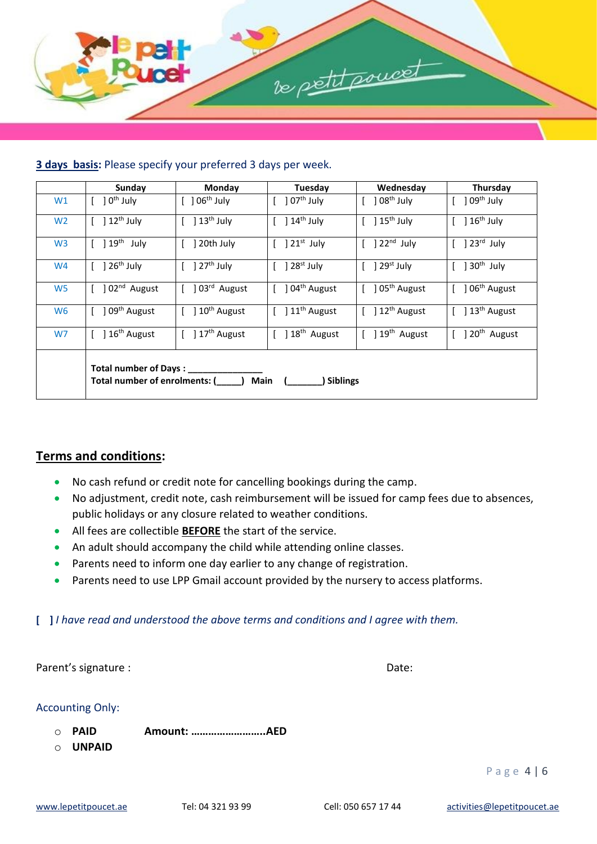

#### **3 days basis:** Please specify your preferred 3 days per week.

|                | Sunday                                                     | Monday                                          | Tuesday                                          | Wednesday                                                           | Thursday                                         |
|----------------|------------------------------------------------------------|-------------------------------------------------|--------------------------------------------------|---------------------------------------------------------------------|--------------------------------------------------|
| W1             | ] 0 <sup>th</sup> July                                     | $[$ ] $06^{\text{th}}$ July                     | $] 07th$ July                                    | $] 08th$ July                                                       | $]09th$ July                                     |
| W <sub>2</sub> | ] 12 <sup>th</sup> July                                    | $\left[\quad\right]$ 13 <sup>th</sup> July      | ] 14 <sup>th</sup> July                          | $\left[\quad\right]$ 15 <sup>th</sup> July                          | $\left[\phantom{a}\right]16^{\text{th}}$ July    |
| W <sub>3</sub> | $\lceil$ 19 <sup>th</sup> July                             | ] 20th July                                     | $\left[\phantom{a}\right]$ 21 <sup>st</sup> July | $\left[\begin{array}{c}$ $\end{array}\right]$ 22 <sup>nd</sup> July | $\begin{bmatrix} 1 & 23^{rd} \end{bmatrix}$ July |
| W4             | $\left[\quad\right]$ 26 <sup>th</sup> July                 | $\left[\quad\right]$ 27 <sup>th</sup> July      | ] 28 <sup>st</sup> July                          | $\left[\begin{array}{c}$ 29 <sup>st</sup> July                      | $[$ ] 30 <sup>th</sup> July                      |
| W <sub>5</sub> | ] 02 <sup>nd</sup> August                                  | ] 03 <sup>rd</sup> August                       | ] 04 <sup>th</sup> August                        | [ ] 05 <sup>th</sup> August                                         | ] 06 <sup>th</sup> August                        |
| W <sub>6</sub> | ] 09 <sup>th</sup> August                                  | $\left[\phantom{a}\right]10^{\text{th}}$ August | ] 11 <sup>th</sup> August                        | $\left[\quad\right]12^{\text{th}}$ August                           | $[$ ] $13th$ August                              |
| W7             | ] 16 <sup>th</sup> August                                  | $\left[\quad\right]17^{th}$ August              | ] 18 <sup>th</sup> August                        | $[$ ] $19th$ August                                                 | $[$ ] 20 <sup>th</sup> August                    |
|                | Total number of Days : __<br>Total number of enrolments: ( |                                                 | Main<br><b>Siblings</b>                          |                                                                     |                                                  |

#### **Terms and conditions:**

- No cash refund or credit note for cancelling bookings during the camp.
- No adjustment, credit note, cash reimbursement will be issued for camp fees due to absences, public holidays or any closure related to weather conditions.
- All fees are collectible **BEFORE** the start of the service.
- An adult should accompany the child while attending online classes.
- Parents need to inform one day earlier to any change of registration.
- Parents need to use LPP Gmail account provided by the nursery to access platforms.

#### **[ ]** *I have read and understood the above terms and conditions and I agree with them.*

|   | Parent's signature :                   |             | Date: |
|---|----------------------------------------|-------------|-------|
| ∩ | <b>Accounting Only:</b><br><b>PAID</b> | Amount: AED |       |
| ∩ | <b>UNPAID</b>                          |             |       |

P a g e 4 | 6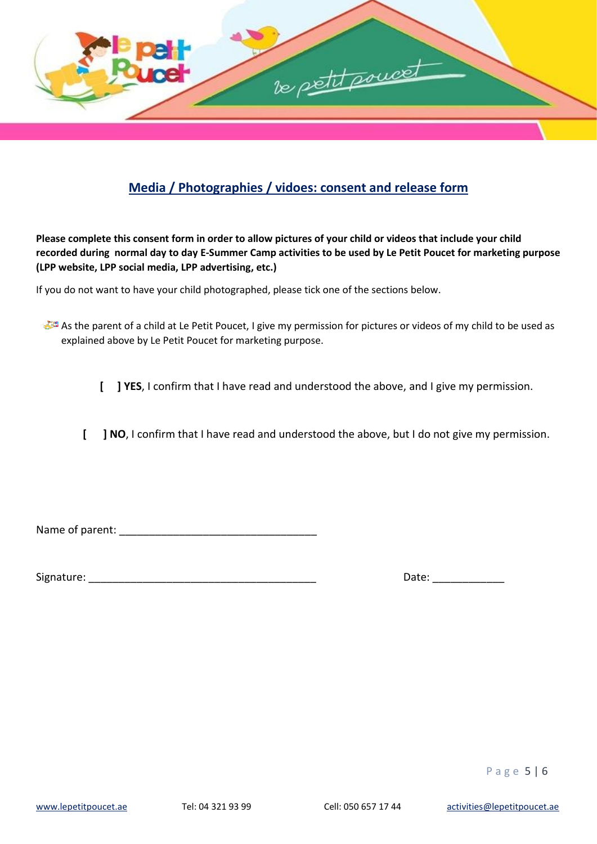

### **Media / Photographies / vidoes: consent and release form**

**Please complete this consent form in order to allow pictures of your child or videos that include your child recorded during normal day to day E-Summer Camp activities to be used by Le Petit Poucet for marketing purpose (LPP website, LPP social media, LPP advertising, etc.)**

If you do not want to have your child photographed, please tick one of the sections below.

- As the parent of a child at Le Petit Poucet, I give my permission for pictures or videos of my child to be used as explained above by Le Petit Poucet for marketing purpose.
	- **[ ] YES**, I confirm that I have read and understood the above, and I give my permission.

**[ ] NO**, I confirm that I have read and understood the above, but I do not give my permission.

Name of parent: \_\_\_\_\_\_\_\_\_\_\_\_\_\_\_\_\_\_\_\_\_\_\_\_\_\_\_\_\_\_\_\_\_

Signature: \_\_\_\_\_\_\_\_\_\_\_\_\_\_\_\_\_\_\_\_\_\_\_\_\_\_\_\_\_\_\_\_\_\_\_\_\_\_ Date: \_\_\_\_\_\_\_\_\_\_\_\_